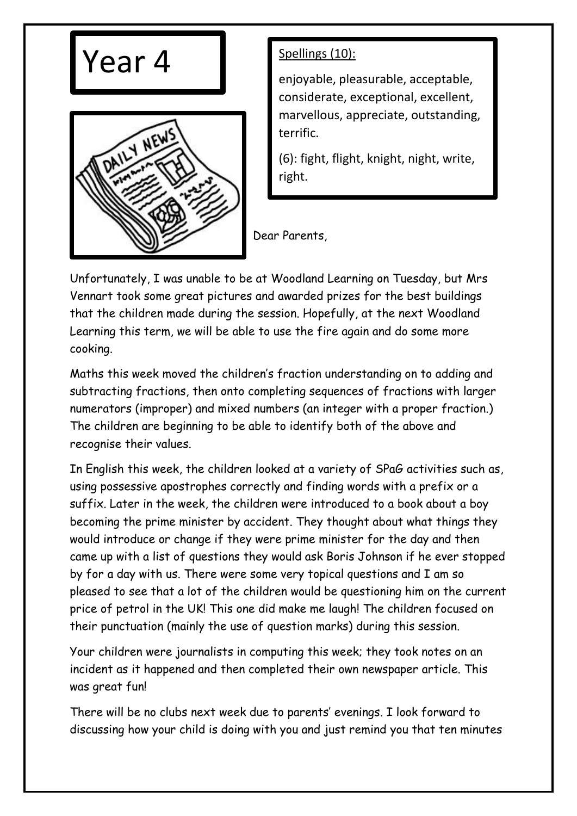



enjoyable, pleasurable, acceptable, considerate, exceptional, excellent, marvellous, appreciate, outstanding, terrific.

(6): fight, flight, knight, night, write, right.

Dear Parents,

Unfortunately, I was unable to be at Woodland Learning on Tuesday, but Mrs Vennart took some great pictures and awarded prizes for the best buildings that the children made during the session. Hopefully, at the next Woodland Learning this term, we will be able to use the fire again and do some more cooking.

Maths this week moved the children's fraction understanding on to adding and subtracting fractions, then onto completing sequences of fractions with larger numerators (improper) and mixed numbers (an integer with a proper fraction.) The children are beginning to be able to identify both of the above and recognise their values.

In English this week, the children looked at a variety of SPaG activities such as, using possessive apostrophes correctly and finding words with a prefix or a suffix. Later in the week, the children were introduced to a book about a boy becoming the prime minister by accident. They thought about what things they would introduce or change if they were prime minister for the day and then came up with a list of questions they would ask Boris Johnson if he ever stopped by for a day with us. There were some very topical questions and I am so pleased to see that a lot of the children would be questioning him on the current price of petrol in the UK! This one did make me laugh! The children focused on their punctuation (mainly the use of question marks) during this session.

Your children were journalists in computing this week; they took notes on an incident as it happened and then completed their own newspaper article. This was great fun!

There will be no clubs next week due to parents' evenings. I look forward to discussing how your child is doing with you and just remind you that ten minutes